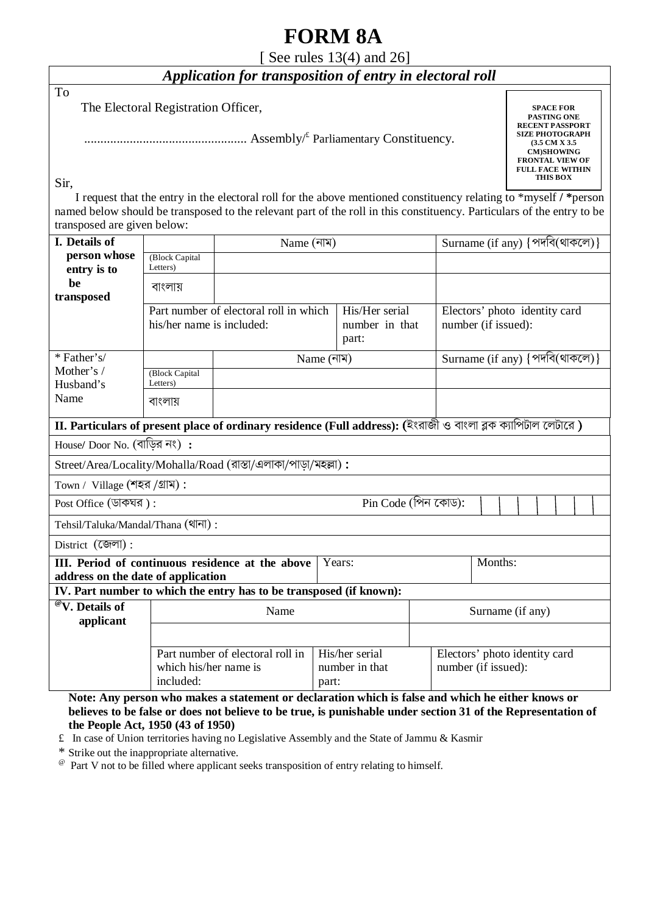# **FORM 8A**

## [ See rules 13(4) and 26]

# *Application for transposition of entry in electoral roll*

To

The Electoral Registration Officer,

.................................................. Assembly/£ Parliamentary Constituency.

**SPACE FOR PASTING ONE RECENT PASSPORT SIZE PHOTOGRAPH (3.5 CM X 3.5 CM)SHOWING FRONTAL VIEW OF FULL FACE WITHIN THIS BOX** 

Sir,

 I request that the entry in the electoral roll for the above mentioned constituency relating to \*myself **/ \***person named below should be transposed to the relevant part of the roll in this constituency. Particulars of the entry to be transposed are given below:

| I. Details of                                                                                                 |                       | Name (নাম)                                                          |                |                |                               | Surname (if any) {পদবি(থাকলে)}                                                                    |  |  |  |  |  |  |
|---------------------------------------------------------------------------------------------------------------|-----------------------|---------------------------------------------------------------------|----------------|----------------|-------------------------------|---------------------------------------------------------------------------------------------------|--|--|--|--|--|--|
| person whose                                                                                                  | (Block Capital        |                                                                     |                |                |                               |                                                                                                   |  |  |  |  |  |  |
| entry is to                                                                                                   | Letters)              |                                                                     |                |                |                               |                                                                                                   |  |  |  |  |  |  |
| be<br>transposed                                                                                              | বাংলায়               |                                                                     |                |                |                               |                                                                                                   |  |  |  |  |  |  |
|                                                                                                               |                       | Part number of electoral roll in which                              | His/Her serial |                | Electors' photo identity card |                                                                                                   |  |  |  |  |  |  |
|                                                                                                               |                       | his/her name is included:                                           |                |                | number in that                | number (if issued):                                                                               |  |  |  |  |  |  |
|                                                                                                               |                       |                                                                     |                |                |                               |                                                                                                   |  |  |  |  |  |  |
| * Father's/                                                                                                   |                       | Name (নাম)                                                          |                |                |                               | Surname (if any) {পদবি(থাকলে)}                                                                    |  |  |  |  |  |  |
| Mother's /                                                                                                    | (Block Capital        |                                                                     |                |                |                               |                                                                                                   |  |  |  |  |  |  |
| Husband's                                                                                                     | Letters)              |                                                                     |                |                |                               |                                                                                                   |  |  |  |  |  |  |
| Name                                                                                                          | বাংলায়               |                                                                     |                |                |                               |                                                                                                   |  |  |  |  |  |  |
| II. Particulars of present place of ordinary residence (Full address): (ইংরাজী ও বাংলা ব্লক ক্যাপিটীল লেটীরে) |                       |                                                                     |                |                |                               |                                                                                                   |  |  |  |  |  |  |
| House/ Door No. (বাড়ির নং):                                                                                  |                       |                                                                     |                |                |                               |                                                                                                   |  |  |  |  |  |  |
| Street/Area/Locality/Mohalla/Road (রাস্তা/এলাকা/পাড়া/মহল্লা):                                                |                       |                                                                     |                |                |                               |                                                                                                   |  |  |  |  |  |  |
| Town / Village (শহর /গ্রাম):                                                                                  |                       |                                                                     |                |                |                               |                                                                                                   |  |  |  |  |  |  |
| $Pin Code ($ পিন কোড):<br>Post Office (ডাকঘর):                                                                |                       |                                                                     |                |                |                               |                                                                                                   |  |  |  |  |  |  |
| Tehsil/Taluka/Mandal/Thana (থানা):                                                                            |                       |                                                                     |                |                |                               |                                                                                                   |  |  |  |  |  |  |
| District (জেলা):                                                                                              |                       |                                                                     |                |                |                               |                                                                                                   |  |  |  |  |  |  |
| <b>III.</b> Period of continuous residence at the above<br>Years:                                             |                       |                                                                     |                |                |                               | Months:                                                                                           |  |  |  |  |  |  |
| address on the date of application                                                                            |                       |                                                                     |                |                |                               |                                                                                                   |  |  |  |  |  |  |
|                                                                                                               |                       | IV. Part number to which the entry has to be transposed (if known): |                |                |                               |                                                                                                   |  |  |  |  |  |  |
| <sup>@</sup> V. Details of                                                                                    |                       | Name                                                                |                |                |                               | Surname (if any)                                                                                  |  |  |  |  |  |  |
| applicant                                                                                                     |                       |                                                                     |                |                |                               |                                                                                                   |  |  |  |  |  |  |
|                                                                                                               |                       |                                                                     |                |                |                               |                                                                                                   |  |  |  |  |  |  |
|                                                                                                               | which his/her name is | Part number of electoral roll in                                    |                | His/her serial |                               | Electors' photo identity card                                                                     |  |  |  |  |  |  |
|                                                                                                               | included:             |                                                                     |                | number in that |                               | number (if issued):                                                                               |  |  |  |  |  |  |
|                                                                                                               |                       |                                                                     | part:          |                |                               | Note: Any person who makes a statement or deeleration which is false and which he either knows or |  |  |  |  |  |  |

**Note: Any person who may believes to be false or does not believe to be true, is punishable under section 31 of the Representation of the People Act, 1950 (43 of 1950)** 

 $\epsilon$  In case of Union territories having no Legislative Assembly and the State of Jammu & Kasmir

\* Strike out the inappropriate alternative.

<sup>@</sup> Part V not to be filled where applicant seeks transposition of entry relating to himself.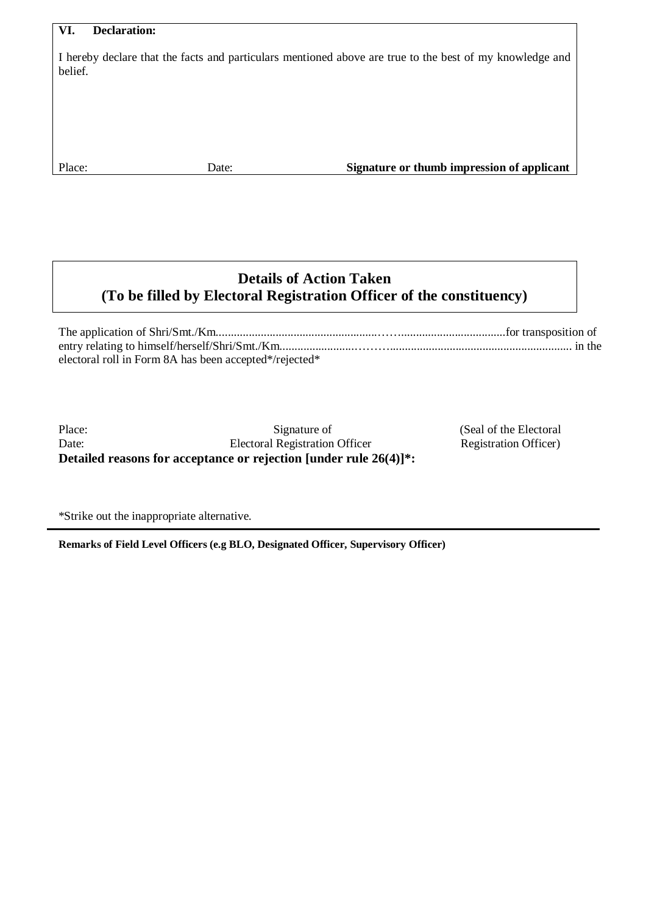#### **VI. Declaration:**

I hereby declare that the facts and particulars mentioned above are true to the best of my knowledge and belief.

Place: Date: Date: **Signature or thumb impression of applicant** 

## **Details of Action Taken (To be filled by Electoral Registration Officer of the constituency)**

The application of Shri/Smt./Km......................................................……...................................for transposition of entry relating to himself/herself/Shri/Smt./Km.........................………............................................................. in the electoral roll in Form 8A has been accepted\*/rejected\*

**Detailed reasons for acceptance or rejection [under rule 26(4)]\*:** Place: Date: Signature of Electoral Registration Officer

(Seal of the Electoral Registration Officer)

\*Strike out the inappropriate alternative.

**Remarks of Field Level Officers (e.g BLO, Designated Officer, Supervisory Officer)**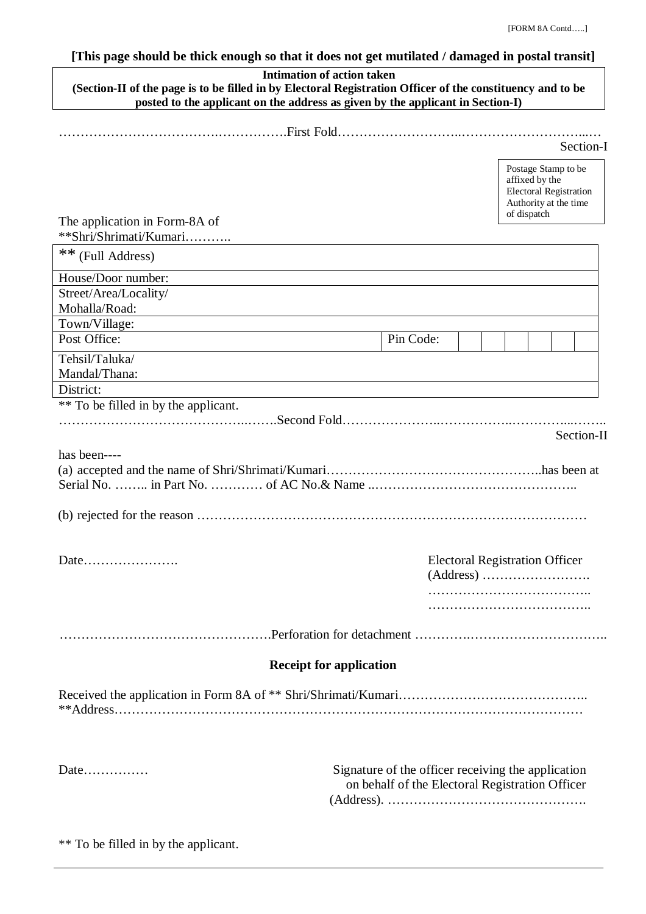### **[This page should be thick enough so that it does not get mutilated / damaged in postal transit]**

| (Section-II of the page is to be filled in by Electoral Registration Officer of the constituency and to be<br>posted to the applicant on the address as given by the applicant in Section-I) | <b>Intimation of action taken</b>                                                                     |                                                                                                                |  |  |  |  |            |
|----------------------------------------------------------------------------------------------------------------------------------------------------------------------------------------------|-------------------------------------------------------------------------------------------------------|----------------------------------------------------------------------------------------------------------------|--|--|--|--|------------|
|                                                                                                                                                                                              |                                                                                                       |                                                                                                                |  |  |  |  |            |
|                                                                                                                                                                                              |                                                                                                       |                                                                                                                |  |  |  |  | Section-I  |
| The application in Form-8A of                                                                                                                                                                |                                                                                                       | Postage Stamp to be<br>affixed by the<br><b>Electoral Registration</b><br>Authority at the time<br>of dispatch |  |  |  |  |            |
| **Shri/Shrimati/Kumari                                                                                                                                                                       |                                                                                                       |                                                                                                                |  |  |  |  |            |
| ** (Full Address)                                                                                                                                                                            |                                                                                                       |                                                                                                                |  |  |  |  |            |
| House/Door number:                                                                                                                                                                           |                                                                                                       |                                                                                                                |  |  |  |  |            |
| Street/Area/Locality/<br>Mohalla/Road:                                                                                                                                                       |                                                                                                       |                                                                                                                |  |  |  |  |            |
| Town/Village:                                                                                                                                                                                |                                                                                                       |                                                                                                                |  |  |  |  |            |
| Post Office:                                                                                                                                                                                 |                                                                                                       | Pin Code:                                                                                                      |  |  |  |  |            |
| Tehsil/Taluka/                                                                                                                                                                               |                                                                                                       |                                                                                                                |  |  |  |  |            |
| Mandal/Thana:                                                                                                                                                                                |                                                                                                       |                                                                                                                |  |  |  |  |            |
| District:                                                                                                                                                                                    |                                                                                                       |                                                                                                                |  |  |  |  |            |
| ** To be filled in by the applicant.                                                                                                                                                         |                                                                                                       |                                                                                                                |  |  |  |  | Section-II |
| has been----<br>(b) rejected for the reason $\ldots$ $\ldots$ $\ldots$ $\ldots$ $\ldots$ $\ldots$ $\ldots$ $\ldots$ $\ldots$ $\ldots$ $\ldots$ $\ldots$ $\ldots$ $\ldots$                    |                                                                                                       |                                                                                                                |  |  |  |  |            |
|                                                                                                                                                                                              |                                                                                                       | <b>Electoral Registration Officer</b>                                                                          |  |  |  |  |            |
|                                                                                                                                                                                              |                                                                                                       |                                                                                                                |  |  |  |  |            |
|                                                                                                                                                                                              |                                                                                                       |                                                                                                                |  |  |  |  |            |
|                                                                                                                                                                                              | <b>Receipt for application</b>                                                                        |                                                                                                                |  |  |  |  |            |
|                                                                                                                                                                                              |                                                                                                       |                                                                                                                |  |  |  |  |            |
| Date                                                                                                                                                                                         | Signature of the officer receiving the application<br>on behalf of the Electoral Registration Officer |                                                                                                                |  |  |  |  |            |

\*\* To be filled in by the applicant.